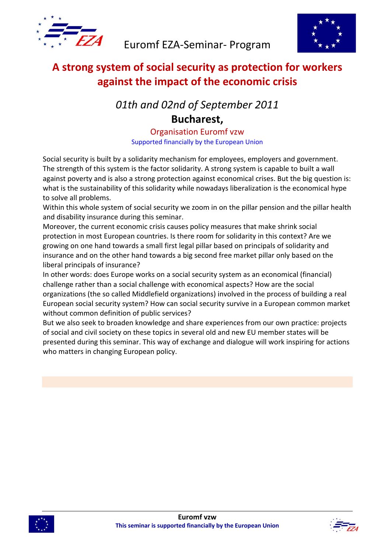



## **A strong system of social security as protection for workers against the impact of the economic crisis**

# *01th and 02nd of September 2011* **Bucharest,**

Organisation Euromf vzw Supported financially by the European Union

Social security is built by a solidarity mechanism for employees, employers and government. The strength of this system is the factor solidarity. A strong system is capable to built a wall against poverty and is also a strong protection against economical crises. But the big question is: what is the sustainability of this solidarity while nowadays liberalization is the economical hype to solve all problems.

Within this whole system of social security we zoom in on the pillar pension and the pillar health and disability insurance during this seminar.

Moreover, the current economic crisis causes policy measures that make shrink social protection in most European countries. Is there room for solidarity in this context? Are we growing on one hand towards a small first legal pillar based on principals of solidarity and insurance and on the other hand towards a big second free market pillar only based on the liberal principals of insurance?

In other words: does Europe works on a social security system as an economical (financial) challenge rather than a social challenge with economical aspects? How are the social organizations (the so called Middlefield organizations) involved in the process of building a real European social security system? How can social security survive in a European common market without common definition of public services?

But we also seek to broaden knowledge and share experiences from our own practice: projects of social and civil society on these topics in several old and new EU member states will be presented during this seminar. This way of exchange and dialogue will work inspiring for actions who matters in changing European policy.



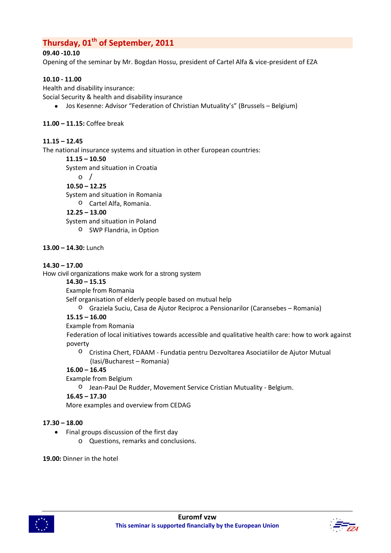### **Thursday, 01<sup>th</sup> of September, 2011**

#### **09.40 ‐10.10**

Opening of the seminar by Mr. Bogdan Hossu, president of Cartel Alfa & vice‐president of EZA

#### **10.10 ‐ 11.00**

Health and disability insurance: Social Security & health and disability insurance

• Jos Kesenne: Advisor "Federation of Christian Mutuality's" (Brussels – Belgium)

#### **11.00 – 11.15:** Coffee break

#### **11.15 – 12.45**

The national insurance systems and situation in other European countries:

**11.15 – 10.50**

System and situation in Croatia

 $\circ$  /

**10.50 – 12.25**

System and situation in Romania

o Cartel Alfa, Romania.

**12.25 – 13.00**

System and situation in Poland

o SWP Flandria, in Option

#### **13.00 – 14.30:** Lunch

#### **14.30 – 17.00**

How civil organizations make work for a strong system

**14.30 – 15.15**

Example from Romania

Self organisation of elderly people based on mutual help

o Graziela Suciu, Casa de Ajutor Reciproc a Pensionarilor (Caransebes – Romania)

#### **15.15 – 16.00**

Example from Romania

Federation of local initiatives towards accessible and qualitative health care: how to work against poverty

o Cristina Chert, FDAAM ‐ Fundatia pentru Dezvoltarea Asociatiilor de Ajutor Mutual (Iasi/Bucharest – Romania)

#### **16.00 – 16.45**

Example from Belgium

o Jean‐Paul De Rudder, Movement Service Cristian Mutuality ‐ Belgium.

**16.45 – 17.30**

More examples and overview from CEDAG

#### **17.30 – 18.00**

- Final groups discussion of the first day
	- o Questions, remarks and conclusions.

**19.00:** Dinner in the hotel



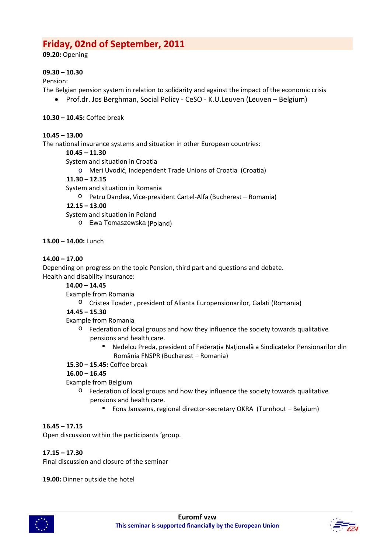### **Friday, 02nd of September, 2011**

**09.20:** Opening

#### **09.30 – 10.30**

Pension:

- The Belgian pension system in relation to solidarity and against the impact of the economic crisis
	- Prof.dr. Jos Berghman, Social Policy ‐ CeSO ‐ K.U.Leuven (Leuven Belgium)
- **10.30 – 10.45:** Coffee break

#### **10.45 – 13.00**

The national insurance systems and situation in other European countries:

#### **10.45 – 11.30**

System and situation in Croatia

o Meri Uvodić, Independent Trade Unions of Croatia (Croatia)

#### **11.30 – 12.15**

System and situation in Romania

o Petru Dandea, Vice‐president Cartel‐Alfa (Bucherest – Romania)

#### **12.15 – 13.00**

System and situation in Poland

o Ewa Tomaszewska (Poland)

#### **13.00 – 14.00:** Lunch

#### **14.00 – 17.00**

Depending on progress on the topic Pension, third part and questions and debate. Health and disability insurance:

#### **14.00 – 14.45**

Example from Romania

o Cristea Toader , president of Alianta Europensionarilor, Galati (Romania)

#### **14.45 – 15.30**

Example from Romania

- $\circ$  Federation of local groups and how they influence the society towards qualitative pensions and health care.
	- Nedelcu Preda, president of Federația Națională a Sindicatelor Pensionarilor din România FNSPR (Bucharest – Romania)

#### **15.30 – 15.45:** Coffee break

#### **16.00 – 16.45**

Example from Belgium

- o Federation of local groups and how they influence the society towards qualitative pensions and health care.
	- Fons Janssens, regional director-secretary OKRA (Turnhout Belgium)

#### **16.45 – 17.15**

Open discussion within the participants 'group.

#### **17.15 – 17.30**

Final discussion and closure of the seminar

**19.00:** Dinner outside the hotel